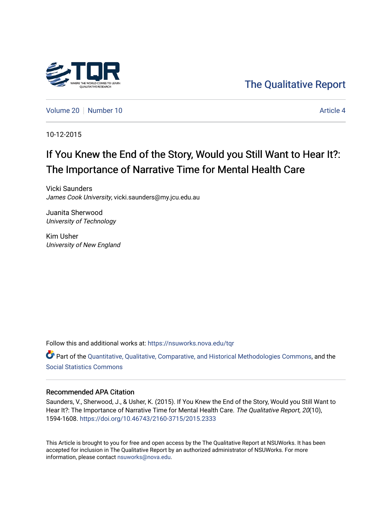

[The Qualitative Report](https://nsuworks.nova.edu/tqr) 

[Volume 20](https://nsuworks.nova.edu/tqr/vol20) [Number 10](https://nsuworks.nova.edu/tqr/vol20/iss10) Article 4

10-12-2015

# If You Knew the End of the Story, Would you Still Want to Hear It?: The Importance of Narrative Time for Mental Health Care

Vicki Saunders James Cook University, vicki.saunders@my.jcu.edu.au

Juanita Sherwood University of Technology

Kim Usher University of New England

Follow this and additional works at: [https://nsuworks.nova.edu/tqr](https://nsuworks.nova.edu/tqr?utm_source=nsuworks.nova.edu%2Ftqr%2Fvol20%2Fiss10%2F4&utm_medium=PDF&utm_campaign=PDFCoverPages) 

Part of the [Quantitative, Qualitative, Comparative, and Historical Methodologies Commons,](http://network.bepress.com/hgg/discipline/423?utm_source=nsuworks.nova.edu%2Ftqr%2Fvol20%2Fiss10%2F4&utm_medium=PDF&utm_campaign=PDFCoverPages) and the [Social Statistics Commons](http://network.bepress.com/hgg/discipline/1275?utm_source=nsuworks.nova.edu%2Ftqr%2Fvol20%2Fiss10%2F4&utm_medium=PDF&utm_campaign=PDFCoverPages) 

# Recommended APA Citation

Saunders, V., Sherwood, J., & Usher, K. (2015). If You Knew the End of the Story, Would you Still Want to Hear It?: The Importance of Narrative Time for Mental Health Care. The Qualitative Report, 20(10), 1594-1608. <https://doi.org/10.46743/2160-3715/2015.2333>

This Article is brought to you for free and open access by the The Qualitative Report at NSUWorks. It has been accepted for inclusion in The Qualitative Report by an authorized administrator of NSUWorks. For more information, please contact [nsuworks@nova.edu.](mailto:nsuworks@nova.edu)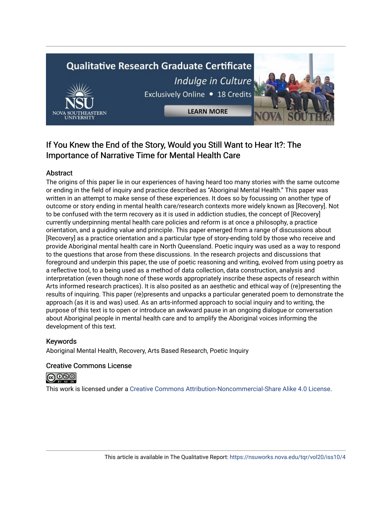# **Qualitative Research Graduate Certificate** Indulge in Culture Exclusively Online . 18 Credits

**LEARN MORE** 

# If You Knew the End of the Story, Would you Still Want to Hear It?: The Importance of Narrative Time for Mental Health Care

# Abstract

The origins of this paper lie in our experiences of having heard too many stories with the same outcome or ending in the field of inquiry and practice described as "Aboriginal Mental Health." This paper was written in an attempt to make sense of these experiences. It does so by focussing on another type of outcome or story ending in mental health care/research contexts more widely known as [Recovery]. Not to be confused with the term recovery as it is used in addiction studies, the concept of [Recovery] currently underpinning mental health care policies and reform is at once a philosophy, a practice orientation, and a guiding value and principle. This paper emerged from a range of discussions about [Recovery] as a practice orientation and a particular type of story-ending told by those who receive and provide Aboriginal mental health care in North Queensland. Poetic inquiry was used as a way to respond to the questions that arose from these discussions. In the research projects and discussions that foreground and underpin this paper, the use of poetic reasoning and writing, evolved from using poetry as a reflective tool, to a being used as a method of data collection, data construction, analysis and interpretation (even though none of these words appropriately inscribe these aspects of research within Arts informed research practices). It is also posited as an aesthetic and ethical way of (re)presenting the results of inquiring. This paper (re)presents and unpacks a particular generated poem to demonstrate the approach (as it is and was) used. As an arts-informed approach to social inquiry and to writing, the purpose of this text is to open or introduce an awkward pause in an ongoing dialogue or conversation about Aboriginal people in mental health care and to amplify the Aboriginal voices informing the development of this text.

# Keywords

Aboriginal Mental Health, Recovery, Arts Based Research, Poetic Inquiry

# Creative Commons License



This work is licensed under a [Creative Commons Attribution-Noncommercial-Share Alike 4.0 License](https://creativecommons.org/licenses/by-nc-sa/4.0/).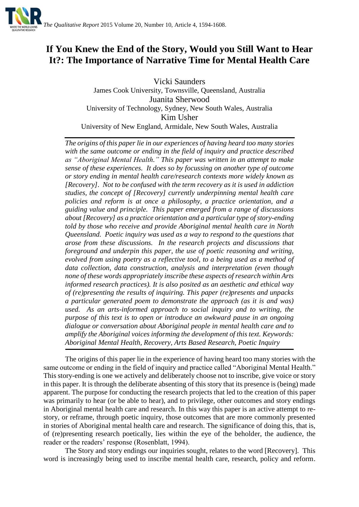

# **If You Knew the End of the Story, Would you Still Want to Hear It?: The Importance of Narrative Time for Mental Health Care**

Vicki Saunders James Cook University, Townsville, Queensland, Australia Juanita Sherwood University of Technology, Sydney, New South Wales, Australia Kim Usher University of New England, Armidale, New South Wales, Australia

*The origins of this paper lie in our experiences of having heard too many stories with the same outcome or ending in the field of inquiry and practice described as "Aboriginal Mental Health." This paper was written in an attempt to make sense of these experiences. It does so by focussing on another type of outcome or story ending in mental health care/research contexts more widely known as [Recovery]. Not to be confused with the term recovery as it is used in addiction studies, the concept of [Recovery] currently underpinning mental health care policies and reform is at once a philosophy, a practice orientation, and a guiding value and principle. This paper emerged from a range of discussions about [Recovery] as a practice orientation and a particular type of story-ending told by those who receive and provide Aboriginal mental health care in North Queensland. Poetic inquiry was used as a way to respond to the questions that arose from these discussions. In the research projects and discussions that foreground and underpin this paper, the use of poetic reasoning and writing, evolved from using poetry as a reflective tool, to a being used as a method of data collection, data construction, analysis and interpretation (even though none of these words appropriately inscribe these aspects of research within Arts informed research practices). It is also posited as an aesthetic and ethical way of (re)presenting the results of inquiring. This paper (re)presents and unpacks a particular generated poem to demonstrate the approach (as it is and was) used. As an arts-informed approach to social inquiry and to writing, the purpose of this text is to open or introduce an awkward pause in an ongoing dialogue or conversation about Aboriginal people in mental health care and to amplify the Aboriginal voices informing the development of this text. Keywords: Aboriginal Mental Health, Recovery, Arts Based Research, Poetic Inquiry*

The origins of this paper lie in the experience of having heard too many stories with the same outcome or ending in the field of inquiry and practice called "Aboriginal Mental Health." This story-ending is one we actively and deliberately choose not to inscribe, give voice or story in this paper. It is through the deliberate absenting of this story that its presence is (being) made apparent. The purpose for conducting the research projects that led to the creation of this paper was primarily to hear (or be able to hear), and to privilege, other outcomes and story endings in Aboriginal mental health care and research. In this way this paper is an active attempt to restory, or reframe, through poetic inquiry, those outcomes that are more commonly presented in stories of Aboriginal mental health care and research. The significance of doing this, that is, of (re)presenting research poetically, lies within the eye of the beholder, the audience, the reader or the readers' response (Rosenblatt, 1994).

The Story and story endings our inquiries sought, relates to the word [Recovery]. This word is increasingly being used to inscribe mental health care, research, policy and reform.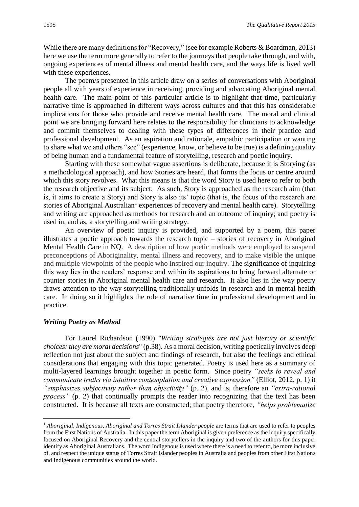While there are many definitions for "Recovery," (see for example Roberts & Boardman, 2013) here we use the term more generally to refer to the journeys that people take through, and with, ongoing experiences of mental illness and mental health care, and the ways life is lived well with these experiences.

The poem/s presented in this article draw on a series of conversations with Aboriginal people all with years of experience in receiving, providing and advocating Aboriginal mental health care. The main point of this particular article is to highlight that time, particularly narrative time is approached in different ways across cultures and that this has considerable implications for those who provide and receive mental health care. The moral and clinical point we are bringing forward here relates to the responsibility for clinicians to acknowledge and commit themselves to dealing with these types of differences in their practice and professional development. As an aspiration and rationale, empathic participation or wanting to share what we and others "see" (experience, know, or believe to be true) is a defining quality of being human and a fundamental feature of storytelling, research and poetic inquiry.

Starting with these somewhat vague assertions is deliberate, because it is Storying (as a methodological approach), and how Stories are heard, that forms the focus or centre around which this story revolves. What this means is that the word Story is used here to refer to both the research objective and its subject. As such, Story is approached as the research aim (that is, it aims to create a Story) and Story is also its' topic (that is, the focus of the research are stories of Aboriginal Australian<sup>1</sup> experiences of recovery and mental health care). Storytelling and writing are approached as methods for research and an outcome of inquiry; and poetry is used in, and as, a storytelling and writing strategy.

An overview of poetic inquiry is provided, and supported by a poem, this paper illustrates a poetic approach towards the research topic – stories of recovery in Aboriginal Mental Health Care in NQ. A description of how poetic methods were employed to suspend preconceptions of Aboriginality, mental illness and recovery, and to make visible the unique and multiple viewpoints of the people who inspired our inquiry. The significance of inquiring this way lies in the readers' response and within its aspirations to bring forward alternate or counter stories in Aboriginal mental health care and research. It also lies in the way poetry draws attention to the way storytelling traditionally unfolds in research and in mental health care. In doing so it highlights the role of narrative time in professional development and in practice.

#### *Writing Poetry as Method*

1

For Laurel Richardson (1990) *"Writing strategies are not just literary or scientific choices: they are moral decisions*" (p.38). As a moral decision, writing poetically involves deep reflection not just about the subject and findings of research, but also the feelings and ethical considerations that engaging with this topic generated. Poetry is used here as a summary of multi-layered learnings brought together in poetic form. Since poetry *"seeks to reveal and communicate truths via intuitive contemplation and creative expression"* (Elliot, 2012, p. 1) it *"emphasizes subjectivity rather than objectivity"* (p. 2)*,* and is, therefore an *"extra-rational process*" (p. 2) that continually prompts the reader into recognizing that the text has been constructed. It is because all texts are constructed; that poetry therefore, *"helps problematize* 

<sup>&</sup>lt;sup>1</sup> Aboriginal, Indigenous, Aboriginal and Torres Strait Islander people are terms that are used to refer to peoples from the First Nations of Australia. In this paper the term Aboriginal is given preference as the inquiry specifically focused on Aboriginal Recovery and the central storytellers in the inquiry and two of the authors for this paper identify as Aboriginal Australians. The word Indigenous is used where there is a need to refer to, be more inclusive of, and respect the unique status of Torres Strait Islander peoples in Australia and peoples from other First Nations and Indigenous communities around the world.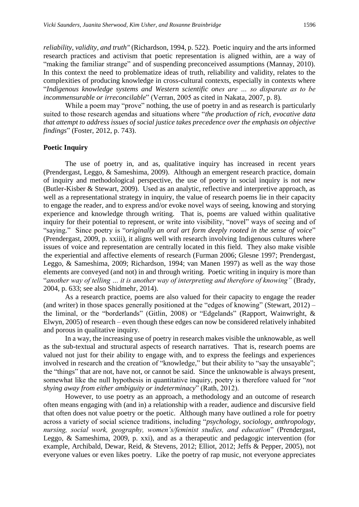*reliability, validity, and truth"* (Richardson, 1994, p. 522).Poetic inquiry and the arts informed research practices and activism that poetic representation is aligned within, are a way of "making the familiar strange" and of suspending preconceived assumptions (Mannay, 2010). In this context the need to problematize ideas of truth, reliability and validity, relates to the complexities of producing knowledge in cross-cultural contexts, especially in contexts where "*Indigenous knowledge systems and Western scientific ones are … so disparate as to be incommensurable or irreconcilable*" (Verran, 2005 as cited in Nakata, 2007, p. 8).

While a poem may "prove" nothing, the use of poetry in and as research is particularly suited to those research agendas and situations where "*the production of rich, evocative data that attempt to address issues of social justice takes precedence over the emphasis on objective findings*" (Foster, 2012, p. 743).

#### **Poetic Inquiry**

The use of poetry in, and as, qualitative inquiry has increased in recent years (Prendergast, Leggo, & Sameshima, 2009). Although an emergent research practice, domain of inquiry and methodological perspective, the use of poetry in social inquiry is not new (Butler-Kisber & Stewart, 2009). Used as an analytic, reflective and interpretive approach, as well as a representational strategy in inquiry, the value of research poems lie in their capacity to engage the reader, and to express and/or evoke novel ways of seeing, knowing and storying experience and knowledge through writing. That is, poems are valued within qualitative inquiry for their potential to represent, or write into visibility, "novel" ways of seeing and of "saying." Since poetry is "*originally an oral art form deeply rooted in the sense of voice*" (Prendergast, 2009, p. xxiii), it aligns well with research involving Indigenous cultures where issues of voice and representation are centrally located in this field. They also make visible the experiential and affective elements of research (Furman 2006; Glesne 1997; Prendergast, Leggo, & Sameshima, 2009; Richardson, 1994; van Manen 1997) as well as the way those elements are conveyed (and not) in and through writing. Poetic writing in inquiry is more than "*another way of telling … it is another way of interpreting and therefore of knowing"* (Brady, 2004, p. 633; see also Shidmehr, 2014).

As a research practice, poems are also valued for their capacity to engage the reader (and writer) in those spaces generally positioned at the "edges of knowing" (Stewart, 2012) – the liminal, or the "borderlands" (Gitlin, 2008) or "Edgelands" (Rapport, Wainwright, & Elwyn, 2005) of research – even though these edges can now be considered relatively inhabited and porous in qualitative inquiry.

In a way, the increasing use of poetry in research makes visible the unknowable, as well as the sub-textual and structural aspects of research narratives. That is, research poems are valued not just for their ability to engage with, and to express the feelings and experiences involved in research and the creation of "knowledge," but their ability to "say the unsayable"; the "things" that are not, have not, or cannot be said. Since the unknowable is always present, somewhat like the null hypothesis in quantitative inquiry, poetry is therefore valued for "*not shying away from either ambiguity or indeterminacy*" (Rath, 2012).

However, to use poetry as an approach, a methodology and an outcome of research often means engaging with (and in) a relationship with a reader, audience and discursive field that often does not value poetry or the poetic. Although many have outlined a role for poetry across a variety of social science traditions, including "*psychology, sociology, anthropology, nursing, social work, geography, women's/feminist studies, and education*" (Prendergast, Leggo, & Sameshima, 2009, p. xxi), and as a therapeutic and pedagogic intervention (for example, Archibald, Dewar, Reid, & Stevens, 2012; Elliot, 2012; Jeffs & Pepper, 2005), not everyone values or even likes poetry. Like the poetry of rap music, not everyone appreciates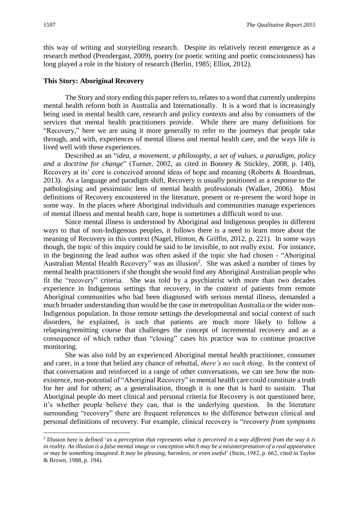this way of writing and storytelling research. Despite its relatively recent emergence as a research method (Prendergast, 2009), poetry (or poetic writing and poetic consciousness) has long played a role in the history of research (Berlin, 1985; Elliot, 2012).

#### **This Story: Aboriginal Recovery**

The Story and story ending this paper refers to, relates to a word that currently underpins mental health reform both in Australia and Internationally. It is a word that is increasingly being used in mental health care, research and policy contexts and also by consumers of the services that mental health practitioners provide. While there are many definitions for "Recovery," here we are using it more generally to refer to the journeys that people take through, and with, experiences of mental illness and mental health care, and the ways life is lived well with these experiences.

Described as an "*idea, a movement, a philosophy, a set of values, a paradigm, policy and a doctrine for change*" (Turner, 2002, as cited in Bonney & Stickley, 2008, p. 140), Recovery at its' core is conceived around ideas of hope and meaning (Roberts & Boardman, 2013). As a language and paradigm shift, Recovery is usually positioned as a response to the pathologising and pessimistic lens of mental health professionals (Walker, 2006). Most definitions of Recovery encountered in the literature, present or re-present the word hope in some way. In the places where Aboriginal individuals and communities manage experiences of mental illness and mental health care, hope is sometimes a difficult word to use.

Since mental illness is understood by Aboriginal and Indigenous peoples in different ways to that of non-Indigenous peoples, it follows there is a need to learn more about the meaning of Recovery in this context (Nagel, Hinton, & Griffin, 2012, p. 221). In some ways though, the topic of this inquiry could be said to be invisible, to not really exist. For instance, in the beginning the lead author was often asked if the topic she had chosen - "Aboriginal Australian Mental Health Recovery" was an illusion<sup>2</sup>. She was asked a number of times by mental health practitioners if she thought she would find any Aboriginal Australian people who fit the "recovery" criteria. She was told by a psychiatrist with more than two decades experience in Indigenous settings that recovery, in the context of patients from remote Aboriginal communities who had been diagnosed with serious mental illness, demanded a much broader understanding than would be the case in metropolitan Australia or the wider non-Indigenous population. In those remote settings the developmental and social context of such disorders, he explained, is such that patients are much more likely to follow a relapsing/remitting course that challenges the concept of incremental recovery and as a consequence of which rather than "closing" cases his practice was to continue proactive monitoring.

She was also told by an experienced Aboriginal mental health practitioner, consumer and carer, in a tone that belied any chance of rebuttal, *there's no such thing*. In the context of that conversation and reinforced in a range of other conversations, we can see how the nonexistence, non-potential of "Aboriginal Recovery" in mental health care could constitute a truth for her and for others; as a generalisation, though it is one that is hard to sustain. That Aboriginal people do meet clinical and personal criteria for Recovery is not questioned here, it's whether people believe they can, that is the underlying question. In the literature surrounding "recovery" there are frequent references to the difference between clinical and personal definitions of recovery. For example, clinical recovery is "*recovery from symptoms* 

<sup>2</sup> Illusion here is defined '*as a perception that represents what is perceived in a way different from the way it is in reality. An illusion is a false mental image or conception which may be a misinterpretation of a real appearance or may be something imagined. It may be pleasing, harmless, or even useful*' (Stein, 1982, p. 662, cited in Taylor & Brown, 1988, p. 194).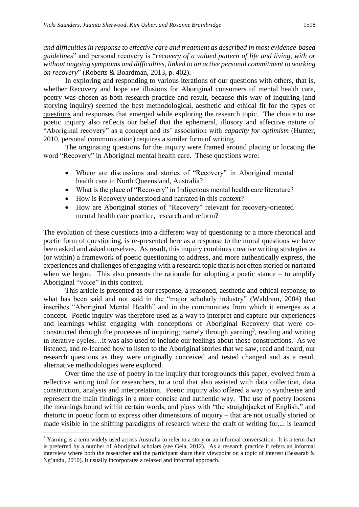*and difficulties in response to effective care and treatment as described in most evidence-based guidelines*" and personal recovery is "*recovery of a valued pattern of life and living, with or without ongoing symptoms and difficulties, linked to an active personal commitment to working on recovery*" (Roberts & Boardman, 2013, p. 402).

In exploring and responding to various iterations of our questions with others, that is, whether Recovery and hope are illusions for Aboriginal consumers of mental health care, poetry was chosen as both research practice and result, because this way of inquiring (and storying inquiry) seemed the best methodological, aesthetic and ethical fit for the types of questions and responses that emerged while exploring the research topic. The choice to use poetic inquiry also reflects our belief that the ephemeral, illusory and affective nature of "Aboriginal recovery" as a concept and its' association with *capacity for optimism* (Hunter, 2010, personal communication) requires a similar form of writing.

The originating questions for the inquiry were framed around placing or locating the word "Recovery" in Aboriginal mental health care. These questions were:

- Where are discussions and stories of "Recovery" in Aboriginal mental health care in North Queensland, Australia?
- What is the place of "Recovery" in Indigenous mental health care literature?
- How is Recovery understood and narrated in this context?
- How are Aboriginal stories of "Recovery" relevant for recovery-oriented mental health care practice, research and reform?

The evolution of these questions into a different way of questioning or a more rhetorical and poetic form of questioning, is re-presented here as a response to the moral questions we have been asked and asked ourselves. As result, this inquiry combines creative writing strategies as (or within) a framework of poetic questioning to address, and more authentically express, the experiences and challenges of engaging with a research topic that is not often storied or narrated when we began. This also presents the rationale for adopting a poetic stance  $-$  to amplify Aboriginal "voice" in this context.

This article is presented as our response, a reasoned, aesthetic and ethical response, to what has been said and not said in the "major scholarly industry" (Waldram, 2004) that inscribes "Aboriginal Mental Health" and in the communities from which it emerges as a concept. Poetic inquiry was therefore used as a way to interpret and capture our experiences and learnings whilst engaging with conceptions of Aboriginal Recovery that were coconstructed through the processes of inquiring; namely through yarning<sup>3</sup>, reading and writing in iterative cycles…it was also used to include our feelings about those constructions. As we listened, and re-learned how to listen to the Aboriginal stories that we saw, read and heard, our research questions as they were originally conceived and tested changed and as a result alternative methodologies were explored.

Over time the use of poetry in the inquiry that foregrounds this paper, evolved from a reflective writing tool for researchers, to a tool that also assisted with data collection, data construction, analysis and interpretation. Poetic inquiry also offered a way to synthesise and represent the main findings in a more concise and authentic way. The use of poetry loosens the meanings bound within certain words, and plays with "the straightjacket of English," and rhetoric in poetic form to express other dimensions of inquiry – that are not usually storied or made visible in the shifting paradigms of research where the craft of writing for.... is learned

<sup>&</sup>lt;sup>3</sup> Yarning is a term widely used across Australia to refer to a story or an informal conversation. It is a term that is preferred by a number of Aboriginal scholars (see Geia, 2012). As a research practice it refers an informal interview where both the researcher and the participant share their viewpoint on a topic of interest (Bessarab & Ng'andu, 2010). It usually incorporates a relaxed and informal approach.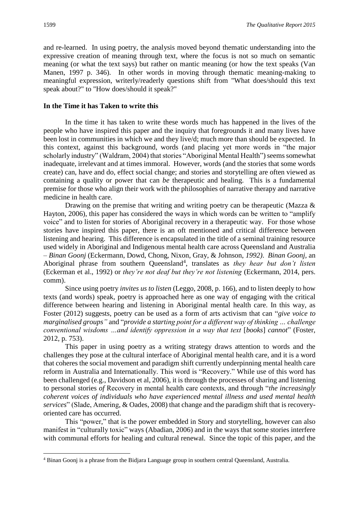and re-learned. In using poetry, the analysis moved beyond thematic understanding into the expressive creation of meaning through text, where the focus is not so much on semantic meaning (or what the text says) but rather on mantic meaning (or how the text speaks (Van Manen, 1997 p. 346). In other words in moving through thematic meaning-making to meaningful expression, writerly/readerly questions shift from "What does/should this text speak about?" to "How does/should it speak?"

#### **In the Time it has Taken to write this**

In the time it has taken to write these words much has happened in the lives of the people who have inspired this paper and the inquiry that foregrounds it and many lives have been lost in communities in which we and they live/d; much more than should be expected. In this context, against this background, words (and placing yet more words in "the major scholarly industry" (Waldram, 2004) that stories "Aboriginal Mental Health") seems somewhat inadequate, irrelevant and at times immoral. However, words (and the stories that some words create) can, have and do, effect social change; and stories and storytelling are often viewed as containing a quality or power that can *be* therapeutic and healing. This is a fundamental premise for those who align their work with the philosophies of narrative therapy and narrative medicine in health care.

Drawing on the premise that writing and writing poetry can be therapeutic (Mazza  $\&$ Hayton, 2006), this paper has considered the ways in which words can be written to "amplify voice" and to listen for stories of Aboriginal recovery in a therapeutic way. For those whose stories have inspired this paper, there is an oft mentioned and critical difference between listening and hearing. This difference is encapsulated in the title of a seminal training resource used widely in Aboriginal and Indigenous mental health care across Queensland and Australia – *Binan Goonj* (Eckermann, Dowd, Chong, Nixon, Gray, & Johnson, *1992)*. *Binan Goonj,* an Aboriginal phrase from southern Queensland<sup>4</sup>, translates as *they hear but don't listen* (Eckerman et al., 1992) or *they're not deaf but they're not listening* (Eckermann, 2014, pers. comm).

Since using poetry *invites us to listen* (Leggo, 2008, p. 166), and to listen deeply to how texts (and words) speak, poetry is approached here as one way of engaging with the critical difference between hearing and listening in Aboriginal mental health care. In this way, as Foster (2012) suggests, poetry can be used as a form of arts activism that can "*give voice to marginalised groups"* and "*provide a starting point for a different way of thinking … challenge conventional wisdoms ...and identify oppression in a way that text [books] cannot*" (Foster, 2012, p. 753).

This paper in using poetry as a writing strategy draws attention to words and the challenges they pose at the cultural interface of Aboriginal mental health care, and it is a word that coheres the social movement and paradigm shift currently underpinning mental health care reform in Australia and Internationally. This word is "Recovery." While use of this word has been challenged (e.g., Davidson et al, 2006), it is through the processes of sharing and listening to personal stories *of* Recovery in mental health care contexts, and through "*the increasingly coherent voices of individuals who have experienced mental illness and used mental health services*" (Slade, Amering, & Oades, 2008) that change and the paradigm shift that is recoveryoriented care has occurred.

This "power," that is the power embedded in Story and storytelling, however can also manifest in "culturally toxic" ways (Abadian, 2006) and in the ways that some stories interfere with communal efforts for healing and cultural renewal. Since the topic of this paper, and the

<sup>4</sup> Binan Goonj is a phrase from the Bidjara Language group in southern central Queensland, Australia.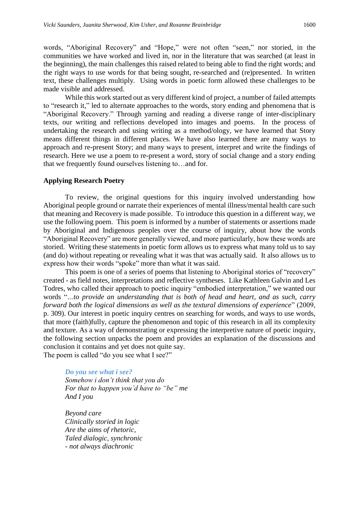words, "Aboriginal Recovery" and "Hope," were not often "seen," nor storied, in the communities we have worked and lived in, nor in the literature that was searched (at least in the beginning), the main challenges this raised related to being able to find the right words; and the right ways to use words for that being sought, re-searched and (re)presented. In written text, these challenges multiply. Using words in poetic form allowed these challenges to be made visible and addressed.

While this work started out as very different kind of project, a number of failed attempts to "research it," led to alternate approaches to the words, story ending and phenomena that is "Aboriginal Recovery." Through yarning and reading a diverse range of inter-disciplinary texts, our writing and reflections developed into images and poems. In the process of undertaking the research and using writing as a method/ology, we have learned that Story means different things in different places. We have also learned there are many ways to approach and re-present Story; and many ways to present, interpret and write the findings of research. Here we use a poem to re-present a word, story of social change and a story ending that we frequently found ourselves listening to…and for.

#### **Applying Research Poetry**

To review, the original questions for this inquiry involved understanding how Aboriginal people ground or narrate their experiences of mental illness/mental health care such that meaning and Recovery is made possible. To introduce this question in a different way, we use the following poem. This poem is informed by a number of statements or assertions made by Aboriginal and Indigenous peoples over the course of inquiry, about how the words "Aboriginal Recovery" are more generally viewed, and more particularly, how these words are storied. Writing these statements in poetic form allows us to express what many told us to say (and do) without repeating or revealing what it was that was actually said. It also allows us to express how their words "spoke" more than what it was said.

This poem is one of a series of poems that listening to Aboriginal stories of "recovery" created - as field notes, interpretations and reflective syntheses. Like Kathleen Galvin and Les Todres, who called their approach to poetic inquiry "embodied interpretation," we wanted our words "*…to provide an understanding that is both of head and heart, and as such, carry forward both the logical dimensions as well as the textural dimensions of experience*" (2009, p. 309). Our interest in poetic inquiry centres on searching for words, and ways to use words, that more (faith)fully, capture the phenomenon and topic of this research in all its complexity and texture. As a way of demonstrating or expressing the interpretive nature of poetic inquiry, the following section unpacks the poem and provides an explanation of the discussions and conclusion it contains and yet does not quite say. The poem is called "do you see what I see?"

*Do you see what i see? Somehow i don't think that you do For that to happen you'd have to "be" me And I you*

*Beyond care Clinically storied in logic Are the aims of rhetoric, Taled dialogic, synchronic - not always diachronic*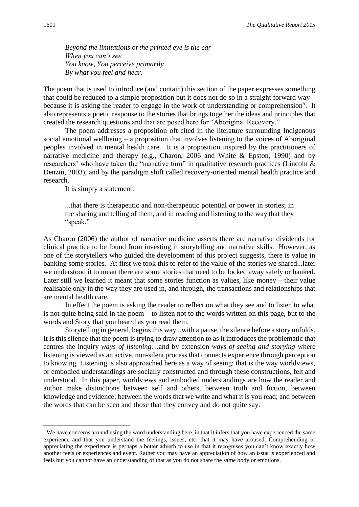*Beyond the limitations of the printed eye is the ear When you can't see You know, You perceive primarily By what you feel and hear.*

The poem that is used to introduce (and contain) this section of the paper expresses something that could be reduced to a simple proposition but it does not do so in a straight forward way – because it is asking the reader to engage in the work of understanding or comprehension<sup>5</sup>. It also represents a poetic response to the stories that brings together the ideas and principles that created the research questions and that are posed here for "Aboriginal Recovery."

The poem addresses a proposition oft cited in the literature surrounding Indigenous social emotional wellbeing – a proposition that involves listening to the voices of Aboriginal peoples involved in mental health care. It is a proposition inspired by the practitioners of narrative medicine and therapy (e.g., Charon, 2006 and White & Epston, 1990) and by researchers' who have taken the "narrative turn" in qualitative research practices (Lincoln & Denzin, 2003), and by the paradigm shift called recovery-oriented mental health practice and research.

It is simply a statement:

...that there is therapeutic and non-therapeutic potential or power in stories; in the sharing and telling of them, and in reading and listening to the way that they "speak."

As Charon (2006) the author of narrative medicine asserts there are narrative dividends for clinical practice to be found from investing in storytelling and narrative skills. However, as one of the storytellers who guided the development of this project suggests, there is value in banking some stories. At first we took this to refer to the value of the stories we shared...later we understood it to mean there are some stories that need to be locked away safely or banked. Later still we learned it meant that some stories function as values, like money – their value realisable only in the way they are used in, and through, the transactions and relationships that are mental health care.

In effect the poem is asking the reader to reflect on what they see and to listen to what is not quite being said in the poem – to listen not to the words written on this page, but to the words and Story that you hear/d as you read them.

Storytelling in general, begins this way...with a pause, the silence before a story unfolds. It is this silence that the poem is trying to draw attention to as it introduces the problematic that centres the inquiry *ways of listening*…and by extension *ways of seeing and storying* where listening is viewed as an active, non-silent process that connects experience through perception to knowing. Listening is also approached here as a way of seeing; that is the way worldviews, or embodied understandings are socially constructed and through these constructions, felt and understood. In this paper, worldviews and embodied understandings are how the reader and author make distinctions between self and others, between truth and fiction, between knowledge and evidence; between the words that we write and what it is you read; and between the words that can be seen and those that they convey and do not quite say.

<sup>&</sup>lt;sup>5</sup> We have concerns around using the word understanding here, in that it infers that you have experienced the same experience and that you understand the feelings, issues, etc. that it may have aroused. Comprehending or appreciating the experience is perhaps a better adverb to use in that it recognises you can't know exactly how another feels or experiences and event. Rather you may have an appreciation of how an issue is experienced and feels but you cannot have an understanding of that as you do not share the same body or emotions.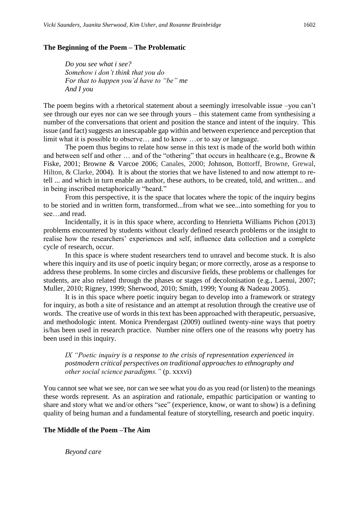#### **The Beginning of the Poem – The Problematic**

*Do you see what i see? Somehow i don't think that you do For that to happen you'd have to "be" me And I you*

The poem begins with a rhetorical statement about a seemingly irresolvable issue –you can't see through our eyes nor can we see through yours – this statement came from synthesising a number of the conversations that orient and position the stance and intent of the inquiry. This issue (and fact) suggests an inescapable gap within and between experience and perception that limit what it is possible to observe… and to know …or to say or language.

The poem thus begins to relate how sense in this text is made of the world both within and between self and other … and of the "othering" that occurs in healthcare (e.g., Browne & Fiske, 2001; Browne & Varcoe 2006; Canales, 2000; Johnson, Bottorff, Browne, Grewal, Hilton, & Clarke, 2004). It is about the stories that we have listened to and now attempt to retell ... and which in turn enable an author, these authors, to be created, told, and written... and in being inscribed metaphorically "heard."

From this perspective, it is the space that locates where the topic of the inquiry begins to be storied and in written form, transformed...from what we see...into something for you to see…and read.

Incidentally, it is in this space where, according to Henrietta Williams Pichon (2013) problems encountered by students without clearly defined research problems or the insight to realise how the researchers' experiences and self, influence data collection and a complete cycle of research, occur.

In this space is where student researchers tend to unravel and become stuck. It is also where this inquiry and its use of poetic inquiry began; or more correctly, arose as a response to address these problems. In some circles and discursive fields, these problems or challenges for students, are also related through the phases or stages of decolonisation (e.g., Laenui, 2007; Muller, 2010; Rigney, 1999; Sherwood, 2010; Smith, 1999; Young & Nadeau 2005).

It is in this space where poetic inquiry began to develop into a framework or strategy for inquiry, as both a site of resistance and an attempt at resolution through the creative use of words. The creative use of words in this text has been approached with therapeutic, persuasive, and methodologic intent. Monica Prendergast (2009) outlined twenty-nine ways that poetry is/has been used in research practice. Number nine offers one of the reasons why poetry has been used in this inquiry.

*IX "Poetic inquiry is a response to the crisis of representation experienced in postmodern critical perspectives on traditional approaches to ethnography and other social science paradigms."* (p. xxxvi)

You cannot see what we see, nor can we see what you do as you read (or listen) to the meanings these words represent. As an aspiration and rationale, empathic participation or wanting to share and story what we and/or others "see" (experience, know, or want to show) is a defining quality of being human and a fundamental feature of storytelling, research and poetic inquiry.

#### **The Middle of the Poem –The Aim**

*Beyond care*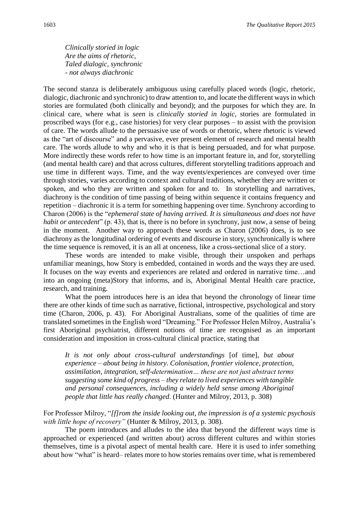*Clinically storied in logic Are the aims of rhetoric, Taled dialogic, synchronic - not always diachronic*

The second stanza is deliberately ambiguous using carefully placed words (logic, rhetoric, dialogic, diachronic and synchronic) to draw attention to, and locate the different ways in which stories are formulated (both clinically and beyond); and the purposes for which they are. In clinical care, where what is *seen* is *clinically storied in logic*, stories are formulated in proscribed ways (for e.g., case histories) for very clear purposes – to assist with the provision of care. The words allude to the persuasive use of words or rhetoric, where rhetoric is viewed as the "art of discourse" and a pervasive, ever present element of research and mental health care. The words allude to why and who it is that is being persuaded, and for what purpose. More indirectly these words refer to how time is an important feature in, and for, storytelling (and mental health care) and that across cultures, different storytelling traditions approach and use time in different ways. Time, and the way events/experiences are conveyed over time through stories, varies according to context and cultural traditions, whether they are written or spoken, and who they are written and spoken for and to. In storytelling and narratives, diachrony is the condition of time passing of being within sequence it contains frequency and repetition – diachronic it is a term for something happening over time. Synchrony according to Charon (2006) is the "*ephemeral state of having arrived. It is simultaneous and does not have habit or antecedent*" (p. 43), that is, there is no before in synchrony, just now, a sense of being in the moment. Another way to approach these words as Charon (2006) does, is to see diachrony as the longitudinal ordering of events and discourse in story, synchronically is where the time sequence is removed, it is an all at onceness, like a cross-sectional slice of a story.

These words are intended to make visible, through their unspoken and perhaps unfamiliar meanings, how Story is embedded, contained in words and the ways they are used. It focuses on the way events and experiences are related and ordered in narrative time…and into an ongoing (meta)Story that informs, and is, Aboriginal Mental Health care practice, research, and training.

What the poem introduces here is an idea that beyond the chronology of linear time there are other kinds of time such as narrative, fictional, introspective, psychological and story time (Charon, 2006, p. 43). For Aboriginal Australians, some of the qualities of time are translated sometimes in the English word "Dreaming." For Professor Helen Milroy, Australia's first Aboriginal psychiatrist, different notions of time are recognised as an important consideration and imposition in cross-cultural clinical practice, stating that

*It is not only about cross-cultural understandings* [of time]*, but about experience – about being in history. Colonisation, frontier violence, protection, assimilation, integration, self-determination… these are not just abstract terms suggesting some kind of progress – they relate to lived experiences with tangible and personal consequences, including a widely held sense among Aboriginal people that little has really changed*. (Hunter and Milroy, 2013, p. 308)

For Professor Milroy, "*[f]rom the inside looking out, the impression is of a systemic psychosis with little hope of recovery"* (Hunter & Milroy, 2013*,* p. 308).

The poem introduces and alludes to the idea that beyond the different ways time is approached or experienced (and written about) across different cultures and within stories themselves, time is a pivotal aspect of mental health care. Here it is used to infer something about how "what" is heard– relates more to how stories remains over time, what is remembered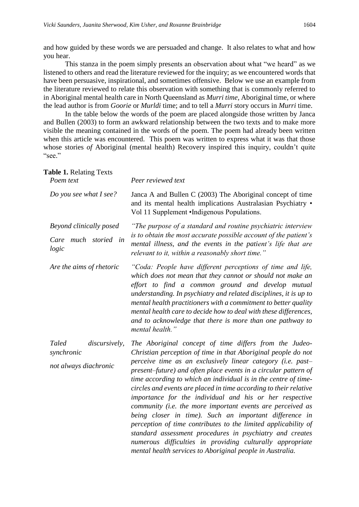and how guided by these words we are persuaded and change. It also relates to what and how you hear.

This stanza in the poem simply presents an observation about what "we heard" as we listened to others and read the literature reviewed for the inquiry; as we encountered words that have been persuasive, inspirational, and sometimes offensive. Below we use an example from the literature reviewed to relate this observation with something that is commonly referred to in Aboriginal mental health care in North Queensland as *Murri time,* Aboriginal time, or where the lead author is from *Goorie* or *Murldi* time; and to tell a *Murri* story occurs in *Murri* time.

In the table below the words of the poem are placed alongside those written by Janca and Bullen (2003) to form an awkward relationship between the two texts and to make more visible the meaning contained in the words of the poem. The poem had already been written when this article was encountered. This poem was written to express what it was that those whose stories *of* Aboriginal (mental health) Recovery inspired this inquiry, couldn't quite "see."

| <b>Table 1. Relating Texts</b><br>Poem text                   | Peer reviewed text                                                                                                                                                                                                                                                                                                                                                                                                                                                                                                                                                                                                                                                                                                                                                                                                                           |
|---------------------------------------------------------------|----------------------------------------------------------------------------------------------------------------------------------------------------------------------------------------------------------------------------------------------------------------------------------------------------------------------------------------------------------------------------------------------------------------------------------------------------------------------------------------------------------------------------------------------------------------------------------------------------------------------------------------------------------------------------------------------------------------------------------------------------------------------------------------------------------------------------------------------|
| Do you see what I see?                                        | Janca A and Bullen C (2003) The Aboriginal concept of time<br>and its mental health implications Australasian Psychiatry .<br>Vol 11 Supplement •Indigenous Populations.                                                                                                                                                                                                                                                                                                                                                                                                                                                                                                                                                                                                                                                                     |
| Beyond clinically posed<br>much storied in<br>Care<br>logic   | "The purpose of a standard and routine psychiatric interview<br>is to obtain the most accurate possible account of the patient's<br>mental illness, and the events in the patient's life that are<br>relevant to it, within a reasonably short time."                                                                                                                                                                                                                                                                                                                                                                                                                                                                                                                                                                                        |
| Are the aims of rhetoric                                      | "Coda: People have different perceptions of time and life,<br>which does not mean that they cannot or should not make an<br>effort to find a common ground and develop mutual<br>understanding. In psychiatry and related disciplines, it is up to<br>mental health practitioners with a commitment to better quality<br>mental health care to decide how to deal with these differences,<br>and to acknowledge that there is more than one pathway to<br>mental health."                                                                                                                                                                                                                                                                                                                                                                    |
| Taled<br>discursively,<br>synchronic<br>not always diachronic | The Aboriginal concept of time differs from the Judeo-<br>Christian perception of time in that Aboriginal people do not<br>perceive time as an exclusively linear category (i.e. past-<br>present-future) and often place events in a circular pattern of<br>time according to which an individual is in the centre of time-<br>circles and events are placed in time according to their relative<br>importance for the individual and his or her respective<br>community (i.e. the more important events are perceived as<br>being closer in time). Such an important difference in<br>perception of time contributes to the limited applicability of<br>standard assessment procedures in psychiatry and creates<br>numerous difficulties in providing culturally appropriate<br>mental health services to Aboriginal people in Australia. |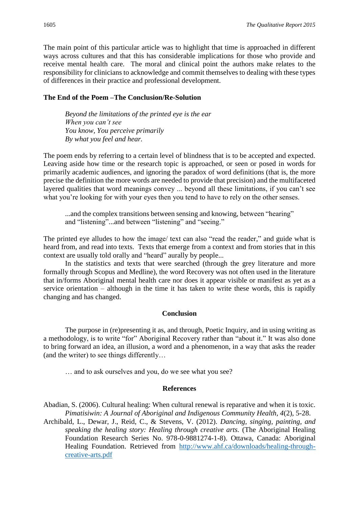The main point of this particular article was to highlight that time is approached in different ways across cultures and that this has considerable implications for those who provide and receive mental health care. The moral and clinical point the authors make relates to the responsibility for clinicians to acknowledge and commit themselves to dealing with these types of differences in their practice and professional development.

### **The End of the Poem –The Conclusion/Re-Solution**

*Beyond the limitations of the printed eye is the ear When you can't see You know, You perceive primarily By what you feel and hear.*

The poem ends by referring to a certain level of blindness that is to be accepted and expected. Leaving aside how time or the research topic is approached, or seen or posed in words for primarily academic audiences, and ignoring the paradox of word definitions (that is, the more precise the definition the more words are needed to provide that precision) and the multifaceted layered qualities that word meanings convey ... beyond all these limitations, if you can't see what you're looking for with your eyes then you tend to have to rely on the other senses.

...and the complex transitions between sensing and knowing, between "hearing" and "listening"...and between "listening" and "seeing."

The printed eye alludes to how the image/ text can also "read the reader," and guide what is heard from, and read into texts. Texts that emerge from a context and from stories that in this context are usually told orally and "heard" aurally by people...

In the statistics and texts that were searched (through the grey literature and more formally through Scopus and Medline), the word Recovery was not often used in the literature that in/forms Aboriginal mental health care nor does it appear visible or manifest as yet as a service orientation – although in the time it has taken to write these words, this is rapidly changing and has changed.

# **Conclusion**

The purpose in (re)presenting it as, and through, Poetic Inquiry, and in using writing as a methodology, is to write "for" Aboriginal Recovery rather than "about it." It was also done to bring forward an idea, an illusion, a word and a phenomenon, in a way that asks the reader (and the writer) to see things differently…

… and to ask ourselves and you, do we see what you see?

#### **References**

Abadian, S. (2006). Cultural healing: When cultural renewal is reparative and when it is toxic. *Pimatisiwin: A Journal of Aboriginal and Indigenous Community Health, 4*(2), 5-28.

Archibald, L., Dewar, J., Reid, C., & Stevens, V. (2012). *Dancing, singing, painting, and speaking the healing story: Healing through creative arts.* (The Aboriginal Healing Foundation Research Series No. 978-0-9881274-1-8). Ottawa, Canada: Aboriginal Healing Foundation. Retrieved from [http://www.ahf.ca/downloads/healing-through](http://www.ahf.ca/downloads/healing-through-creative-arts.pdf)[creative-arts.pdf](http://www.ahf.ca/downloads/healing-through-creative-arts.pdf)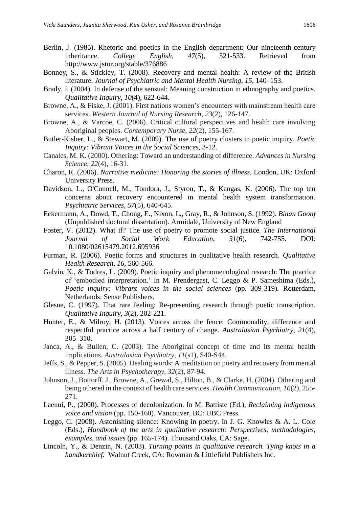- Berlin, J. (1985). Rhetoric and poetics in the English department: Our nineteenth-century inheritance. *College English, 47*(5), 521-533. Retrieved from <http://www.jstor.org/stable/376886>
- Bonney, S., & Stickley, T. (2008). Recovery and mental health: A review of the British literature. *Journal of Psychiatric and Mental Health Nursing*, *15*, 140–153.
- Brady, I. (2004). In defense of the sensual: Meaning construction in ethnography and poetics. *Qualitative Inquiry*, *10*(4), 622-644.
- Browne, A., & Fiske, J. (2001). First nations women's encounters with mainstream health care services. *Western Journal of Nursing Research*, *23*(2), 126-147.
- Browne, A., & Varcoe, C. (2006). Critical cultural perspectives and health care involving Aboriginal peoples. *Contemporary Nurse*, *22*(2), 155-167.
- Butler-Kisber, L., & Stewart, M. (2009). The use of poetry clusters in poetic inquiry. *Poetic Inquiry: Vibrant Voices in the Social Sciences*, 3-12.
- Canales, M. K. (2000). Othering: Toward an understanding of difference. *Advances in Nursing Science*, *22*(4), 16-31.
- Charon, R. (2006). *Narrative medicine: Honoring the stories of illness*. London, UK: Oxford University Press.
- Davidson, L., O'Connell, M., Tondora, J., Styron, T., & Kangas, K. (2006). The top ten concerns about recovery encountered in mental health system transformation. *Psychiatric Services*, *57*(5), 640-645.
- Eckermann, A., Dowd, T., Chong, E., Nixon, L., Gray, R., & Johnson, S. (1992). *Binan Goonj* (Unpublished doctoral dissertation). Armidale, University of New England
- Foster, V. (2012). What if? The use of poetry to promote social justice. *The International Journal of Social Work Education, 31*(6), 742-755. DOI: 10.1080/02615479.2012.695936
- Furman, R. (2006). Poetic forms and structures in qualitative health research. *Qualitative Health Research*, *16*, 560-566.
- Galvin, K., & Todres, L. (2009). Poetic inquiry and phenomenological research: The practice of 'embodied interpretation.' In M. Prendergast, C. Leggo & P. Sameshima (Eds.), *Poetic inquiry: Vibrant voices in the social sciences* (pp. 309-319)*.* Rotterdam, Netherlands: Sense Publishers.
- Glesne, C. (1997). That rare feeling: Re-presenting research through poetic transcription. *Qualitative Inquiry*, *3*(2), 202-221.
- Hunter, E., & Milroy, H. (2013). Voices across the fence: Commonality, difference and respectful practice across a half century of change. *Australasian Psychiatry, 21*(4), 305–310.
- Janca, A., & Bullen, C. (2003). The Aboriginal concept of time and its mental health implications. *Australasian Psychiatry*, *11*(s1), S40-S44.
- Jeffs, S., & Pepper, S. (2005). Healing words: A meditation on poetry and recovery from mental illness. *The Arts in Psychotherapy*, *32*(2), 87-94.
- Johnson, J., Bottorff, J., Browne, A., Grewal, S., Hilton, B., & Clarke, H. (2004). Othering and being othered in the context of health care services. *Health Communication*, *16*(2), 255- 271.
- Laenui, P., (2000). Processes of decolonization. In M. Battiste (Ed.), *Reclaiming indigenous voice and vision* (pp. 150-160). Vancouver, BC: UBC Press.
- Leggo, C. (2008). Astonishing silence: Knowing in poetry. In J. G. Knowles & A. L. Cole (Eds.), *Handbook of the arts in qualitative research: Perspectives, methodologies, examples, and issues* (pp. 165-174). Thousand Oaks, CA: Sage.
- Lincoln, Y., & Denzin, N. (2003). *Turning points in qualitative research. Tying knots in a handkerchief.* Walnut Creek, CA: Rowman & Littlefield Publishers Inc.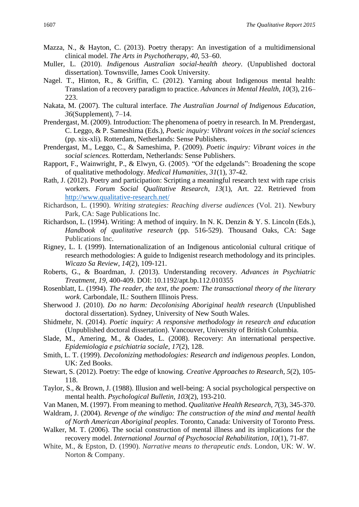- Mazza, N., & Hayton, C. (2013). Poetry therapy: An investigation of a multidimensional clinical model. *The Arts in Psychotherapy*, *40*, 53–60.
- Muller, L. (2010). *Indigenous Australian social-health theory*. (Unpublished doctoral dissertation). Townsville, James Cook University.
- Nagel. T., Hinton, R., & Griffin, C. (2012). Yarning about Indigenous mental health: Translation of a recovery paradigm to practice. *Advances in Mental Health, 10*(3), 216– 223.
- Nakata, M. (2007). The cultural interface. *The Australian Journal of Indigenous Education*, *36*(Supplement), 7–14.
- Prendergast, M. (2009). Introduction: The phenomena of poetry in research. In M. Prendergast, C. Leggo, & P. Sameshima (Eds.), *Poetic inquiry: Vibrant voices in the social sciences* (pp. xix-xli)*.* Rotterdam, Netherlands: Sense Publishers.
- Prendergast, M., Leggo, C., & Sameshima, P. (2009). *Poetic inquiry: Vibrant voices in the social sciences.* Rotterdam, Netherlands: Sense Publishers.
- Rapport, F., Wainwright, P., & Elwyn, G. (2005). "Of the edgelands": Broadening the scope of qualitative methodology. *Medical Humanities*, *31*(1), 37-42.
- Rath, J. (2012). Poetry and participation: Scripting a meaningful research text with rape crisis workers. *Forum Social Qualitative Research*, *13*(1), Art. 22. Retrieved from <http://www.qualitative-research.net/>
- Richardson, L. (1990). *Writing strategies: Reaching diverse audiences* (Vol. 21). Newbury Park, CA: Sage Publications Inc.
- Richardson, L. (1994). Writing: A method of inquiry. In N. K. Denzin & Y. S. Lincoln (Eds.), *Handbook of qualitative research* (pp. 516-529). Thousand Oaks, CA: Sage Publications Inc.
- Rigney, L. I. (1999). Internationalization of an Indigenous anticolonial cultural critique of research methodologies: A guide to Indigenist research methodology and its principles. *Wicazo Sa Review*, *14*(2), 109-121.
- Roberts, G., & Boardman, J. (2013). Understanding recovery. *Advances in Psychiatric Treatment, 19,* 400-409. DOI: 10.1192/apt.bp.112.010355
- Rosenblatt, L. (1994). *The reader, the text, the poem: The transactional theory of the literary work*. Carbondale, IL: Southern Illinois Press.
- Sherwood J. (2010). *Do no harm: Decolonising Aboriginal health research* (Unpublished doctoral dissertation). Sydney, University of New South Wales.
- Shidmehr, N. (2014). *Poetic inquiry: A responsive methodology in research and education* (Unpublished doctoral dissertation). Vancouver, University of British Columbia.
- Slade, M., Amering, M., & Oades, L. (2008). Recovery: An international perspective. *Epidemiologia e psichiatria sociale*, *17*(2), 128.
- Smith, L. T. (1999). *Decolonizing methodologies: Research and indigenous peoples*. London, UK: Zed Books.
- Stewart, S. (2012). Poetry: The edge of knowing. *Creative Approaches to Research, 5*(2), 105- 118.
- Taylor, S., & Brown, J. (1988). Illusion and well-being: A social psychological perspective on mental health. *Psychological Bulletin, 103*(2), 193-210.
- Van Manen, M. (1997). From meaning to method. *Qualitative Health Research*, *7*(3), 345-370.
- Waldram, J. (2004). *Revenge of the windigo: The construction of the mind and mental health of North American Aboriginal peoples*. Toronto, Canada: University of Toronto Press.
- Walker, M. T. (2006). The social construction of mental illness and its implications for the recovery model. *International Journal of Psychosocial Rehabilitation, 10*(1), 71-87.
- White, M., & Epston, D. (1990). *Narrative means to therapeutic ends*. London, UK: W. W. Norton & Company.